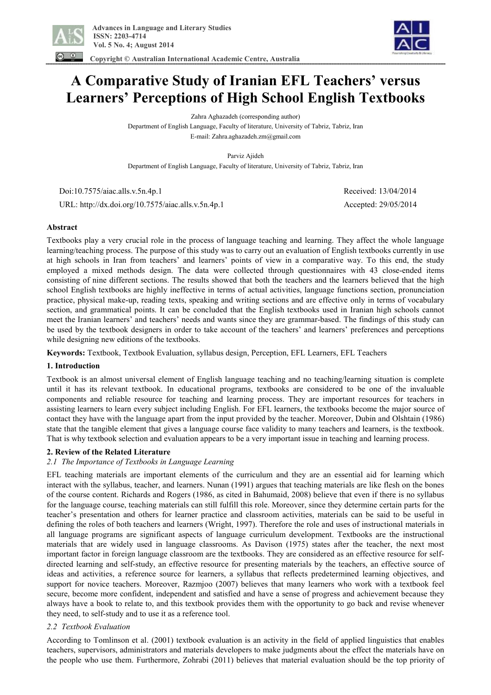

 **Copyright © Australian International Academic Centre, Australia** 



# **A Comparative Study of Iranian EFL Teachers' versus Learners' Perceptions of High School English Textbooks**

Zahra Aghazadeh (corresponding author)

Department of English Language, Faculty of literature, University of Tabriz, Tabriz, Iran E-mail: Zahra.aghazadeh.zm@gmail.com

Parviz Ajideh

Department of English Language, Faculty of literature, University of Tabriz, Tabriz, Iran

 Doi:10.7575/aiac.alls.v.5n.4p.1 Received: 13/04/2014 URL: http://dx.doi.org/10.7575/aiac.alls.v.5n.4p.1 Accepted: 29/05/2014

## **Abstract**

Textbooks play a very crucial role in the process of language teaching and learning. They affect the whole language learning/teaching process. The purpose of this study was to carry out an evaluation of English textbooks currently in use at high schools in Iran from teachers' and learners' points of view in a comparative way. To this end, the study employed a mixed methods design. The data were collected through questionnaires with 43 close-ended items consisting of nine different sections. The results showed that both the teachers and the learners believed that the high school English textbooks are highly ineffective in terms of actual activities, language functions section, pronunciation practice, physical make-up, reading texts, speaking and writing sections and are effective only in terms of vocabulary section, and grammatical points. It can be concluded that the English textbooks used in Iranian high schools cannot meet the Iranian learners' and teachers' needs and wants since they are grammar-based. The findings of this study can be used by the textbook designers in order to take account of the teachers' and learners' preferences and perceptions while designing new editions of the textbooks.

**Keywords:** Textbook, Textbook Evaluation, syllabus design, Perception, EFL Learners, EFL Teachers

## **1. Introduction**

Textbook is an almost universal element of English language teaching and no teaching/learning situation is complete until it has its relevant textbook. In educational programs, textbooks are considered to be one of the invaluable components and reliable resource for teaching and learning process. They are important resources for teachers in assisting learners to learn every subject including English. For EFL learners, the textbooks become the major source of contact they have with the language apart from the input provided by the teacher. Moreover, Dubin and Olshtain (1986) state that the tangible element that gives a language course face validity to many teachers and learners, is the textbook. That is why textbook selection and evaluation appears to be a very important issue in teaching and learning process.

## **2. Review of the Related Literature**

## *2.1 The Importance of Textbooks in Language Learning*

EFL teaching materials are important elements of the curriculum and they are an essential aid for learning which interact with the syllabus, teacher, and learners. Nunan (1991) argues that teaching materials are like flesh on the bones of the course content. Richards and Rogers (1986, as cited in Bahumaid, 2008) believe that even if there is no syllabus for the language course, teaching materials can still fulfill this role. Moreover, since they determine certain parts for the teacher's presentation and others for learner practice and classroom activities, materials can be said to be useful in defining the roles of both teachers and learners (Wright, 1997). Therefore the role and uses of instructional materials in all language programs are significant aspects of language curriculum development. Textbooks are the instructional materials that are widely used in language classrooms. As Davison (1975) states after the teacher, the next most important factor in foreign language classroom are the textbooks. They are considered as an effective resource for selfdirected learning and self-study, an effective resource for presenting materials by the teachers, an effective source of ideas and activities, a reference source for learners, a syllabus that reflects predetermined learning objectives, and support for novice teachers. Moreover, Razmjoo (2007) believes that many learners who work with a textbook feel secure, become more confident, independent and satisfied and have a sense of progress and achievement because they always have a book to relate to, and this textbook provides them with the opportunity to go back and revise whenever they need, to self-study and to use it as a reference tool.

# *2.2 Textbook Evaluation*

According to Tomlinson et al. (2001) textbook evaluation is an activity in the field of applied linguistics that enables teachers, supervisors, administrators and materials developers to make judgments about the effect the materials have on the people who use them. Furthermore, Zohrabi (2011) believes that material evaluation should be the top priority of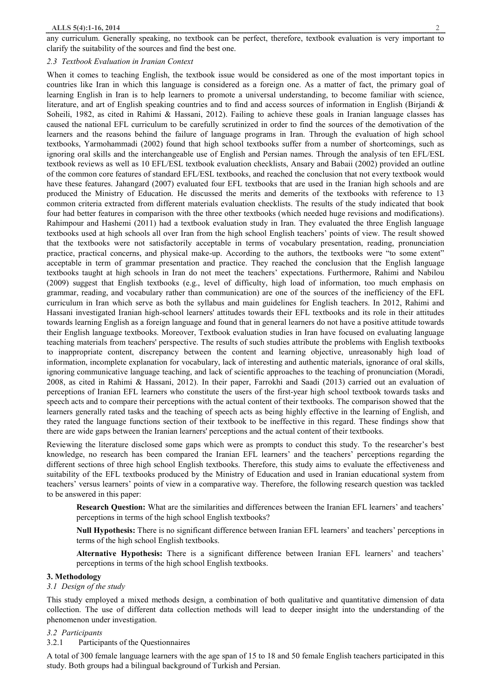any curriculum. Generally speaking, no textbook can be perfect, therefore, textbook evaluation is very important to clarify the suitability of the sources and find the best one.

#### *2.3 Textbook Evaluation in Iranian Context*

When it comes to teaching English, the textbook issue would be considered as one of the most important topics in countries like Iran in which this language is considered as a foreign one. As a matter of fact, the primary goal of learning English in Iran is to help learners to promote a universal understanding, to become familiar with science, literature, and art of English speaking countries and to find and access sources of information in English (Birjandi & Soheili, 1982, as cited in Rahimi & Hassani, 2012). Failing to achieve these goals in Iranian language classes has caused the national EFL curriculum to be carefully scrutinized in order to find the sources of the demotivation of the learners and the reasons behind the failure of language programs in Iran. Through the evaluation of high school textbooks, Yarmohammadi (2002) found that high school textbooks suffer from a number of shortcomings, such as ignoring oral skills and the interchangeable use of English and Persian names. Through the analysis of ten EFL/ESL textbook reviews as well as 10 EFL/ESL textbook evaluation checklists, Ansary and Babaii (2002) provided an outline of the common core features of standard EFL/ESL textbooks, and reached the conclusion that not every textbook would have these features. Jahangard (2007) evaluated four EFL textbooks that are used in the Iranian high schools and are produced the Ministry of Education. He discussed the merits and demerits of the textbooks with reference to 13 common criteria extracted from different materials evaluation checklists. The results of the study indicated that book four had better features in comparison with the three other textbooks (which needed huge revisions and modifications). Rahimpour and Hashemi (2011) had a textbook evaluation study in Iran. They evaluated the three English language textbooks used at high schools all over Iran from the high school English teachers' points of view. The result showed that the textbooks were not satisfactorily acceptable in terms of vocabulary presentation, reading, pronunciation practice, practical concerns, and physical make-up. According to the authors, the textbooks were "to some extent" acceptable in term of grammar presentation and practice. They reached the conclusion that the English language textbooks taught at high schools in Iran do not meet the teachers' expectations. Furthermore, Rahimi and Nabilou (2009) suggest that English textbooks (e.g., level of difficulty, high load of information, too much emphasis on grammar, reading, and vocabulary rather than communication) are one of the sources of the inefficiency of the EFL curriculum in Iran which serve as both the syllabus and main guidelines for English teachers. In 2012, Rahimi and Hassani investigated Iranian high-school learners' attitudes towards their EFL textbooks and its role in their attitudes towards learning English as a foreign language and found that in general learners do not have a positive attitude towards their English language textbooks. Moreover, Textbook evaluation studies in Iran have focused on evaluating language teaching materials from teachers' perspective. The results of such studies attribute the problems with English textbooks to inappropriate content, discrepancy between the content and learning objective, unreasonably high load of information, incomplete explanation for vocabulary, lack of interesting and authentic materials, ignorance of oral skills, ignoring communicative language teaching, and lack of scientific approaches to the teaching of pronunciation (Moradi, 2008, as cited in Rahimi & Hassani, 2012). In their paper, Farrokhi and Saadi (2013) carried out an evaluation of perceptions of Iranian EFL learners who constitute the users of the first-year high school textbook towards tasks and speech acts and to compare their perceptions with the actual content of their textbooks. The comparison showed that the learners generally rated tasks and the teaching of speech acts as being highly effective in the learning of English, and they rated the language functions section of their textbook to be ineffective in this regard. These findings show that there are wide gaps between the Iranian learners' perceptions and the actual content of their textbooks.

Reviewing the literature disclosed some gaps which were as prompts to conduct this study. To the researcher's best knowledge, no research has been compared the Iranian EFL learners' and the teachers' perceptions regarding the different sections of three high school English textbooks. Therefore, this study aims to evaluate the effectiveness and suitability of the EFL textbooks produced by the Ministry of Education and used in Iranian educational system from teachers' versus learners' points of view in a comparative way. Therefore, the following research question was tackled to be answered in this paper:

**Research Question:** What are the similarities and differences between the Iranian EFL learners' and teachers' perceptions in terms of the high school English textbooks?

**Null Hypothesis:** There is no significant difference between Iranian EFL learners' and teachers' perceptions in terms of the high school English textbooks.

**Alternative Hypothesis:** There is a significant difference between Iranian EFL learners' and teachers' perceptions in terms of the high school English textbooks.

#### **3. Methodology**

#### *3.1 Design of the study*

This study employed a mixed methods design, a combination of both qualitative and quantitative dimension of data collection. The use of different data collection methods will lead to deeper insight into the understanding of the phenomenon under investigation.

#### *3.2 Participants*

3.2.1 Participants of the Questionnaires

A total of 300 female language learners with the age span of 15 to 18 and 50 female English teachers participated in this study. Both groups had a bilingual background of Turkish and Persian.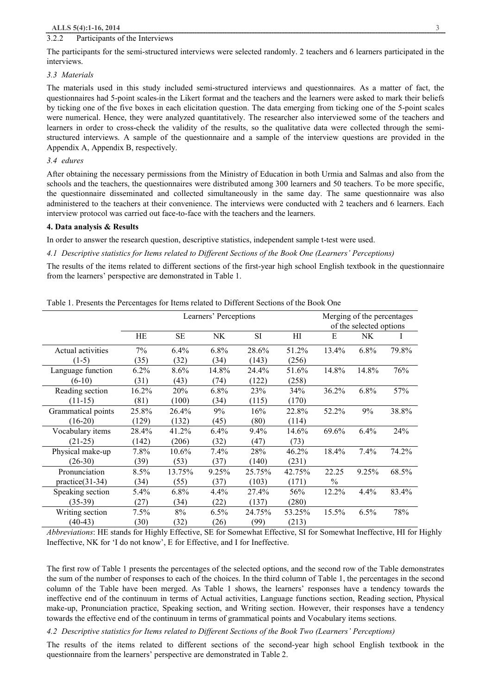#### 3.2.2 Participants of the Interviews

The participants for the semi-structured interviews were selected randomly. 2 teachers and 6 learners participated in the interviews.

#### *3.3 Materials*

The materials used in this study included semi-structured interviews and questionnaires. As a matter of fact, the questionnaires had 5-point scales in the Likert format and the teachers and the learners were asked to mark their beliefs by ticking one of the five boxes in each elicitation question. The data emerging from ticking one of the 5-point scales were numerical. Hence, they were analyzed quantitatively. The researcher also interviewed some of the teachers and learners in order to cross-check the validity of the results, so the qualitative data were collected through the semistructured interviews. A sample of the questionnaire and a sample of the interview questions are provided in the Appendix A, Appendix B, respectively.

#### *3.4 edures*

After obtaining the necessary permissions from the Ministry of Education in both Urmia and Salmas and also from the schools and the teachers, the questionnaires were distributed among 300 learners and 50 teachers. To be more specific, the questionnaire disseminated and collected simultaneously in the same day. The same questionnaire was also administered to the teachers at their convenience. The interviews were conducted with 2 teachers and 6 learners. Each interview protocol was carried out face-to-face with the teachers and the learners.

#### **4. Data analysis & Results**

In order to answer the research question, descriptive statistics, independent sample t-test were used.

*4.1 Descriptive statistics for Items related to Different Sections of the Book One (Learners' Perceptions)* 

The results of the items related to different sections of the first-year high school English textbook in the questionnaire from the learners' perspective are demonstrated in Table 1.

|                    |         |           | Learners' Perceptions |           |        | Merging of the percentages<br>of the selected options |       |       |
|--------------------|---------|-----------|-----------------------|-----------|--------|-------------------------------------------------------|-------|-------|
|                    | HE      | <b>SE</b> | NK                    | <b>SI</b> | HI     | Е                                                     | NK    | I     |
| Actual activities  | 7%      | 6.4%      | $6.8\%$               | 28.6%     | 51.2%  | 13.4%                                                 | 6.8%  | 79.8% |
| $(1-5)$            | (35)    | (32)      | (34)                  | (143)     | (256)  |                                                       |       |       |
| Language function  | $6.2\%$ | 8.6%      | 14.8%                 | 24.4%     | 51.6%  | 14.8%                                                 | 14.8% | 76%   |
| $(6-10)$           | (31)    | (43)      | (74)                  | (122)     | (258)  |                                                       |       |       |
| Reading section    | 16.2%   | 20%       | $6.8\%$               | 23%       | 34%    | 36.2%                                                 | 6.8%  | 57%   |
| $(11-15)$          | (81)    | (100)     | (34)                  | (115)     | (170)  |                                                       |       |       |
| Grammatical points | 25.8%   | 26.4%     | 9%                    | 16%       | 22.8%  | 52.2%                                                 | 9%    | 38.8% |
| $(16-20)$          | (129)   | (132)     | (45)                  | (80)      | (114)  |                                                       |       |       |
| Vocabulary items   | 28.4%   | 41.2%     | 6.4%                  | $9.4\%$   | 14.6%  | 69.6%                                                 | 6.4%  | 24%   |
| $(21-25)$          | (142)   | (206)     | (32)                  | (47)      | (73)   |                                                       |       |       |
| Physical make-up   | 7.8%    | 10.6%     | $7.4\%$               | 28%       | 46.2%  | 18.4%                                                 | 7.4%  | 74.2% |
| $(26-30)$          | (39)    | (53)      | (37)                  | (140)     | (231)  |                                                       |       |       |
| Pronunciation      | 8.5%    | 13.75%    | 9.25%                 | 25.75%    | 42.75% | 22.25                                                 | 9.25% | 68.5% |
| $practive(31-34)$  | (34)    | (55)      | (37)                  | (103)     | (171)  | $\%$                                                  |       |       |
| Speaking section   | 5.4%    | 6.8%      | 4.4%                  | 27.4%     | 56%    | 12.2%                                                 | 4.4%  | 83.4% |
| $(35-39)$          | (27)    | (34)      | (22)                  | (137)     | (280)  |                                                       |       |       |
| Writing section    | 7.5%    | $8\%$     | 6.5%                  | 24.75%    | 53.25% | 15.5%                                                 | 6.5%  | 78%   |
| $(40-43)$          | (30)    | (32)      | (26)                  | (99)      | (213)  |                                                       |       |       |

Table 1. Presents the Percentages for Items related to Different Sections of the Book One

*Abbreviations*: HE stands for Highly Effective, SE for Somewhat Effective, SI for Somewhat Ineffective, HI for Highly Ineffective, NK for 'I do not know', E for Effective, and I for Ineffective.

The first row of Table 1 presents the percentages of the selected options, and the second row of the Table demonstrates the sum of the number of responses to each of the choices. In the third column of Table 1, the percentages in the second column of the Table have been merged. As Table 1 shows, the learners' responses have a tendency towards the ineffective end of the continuum in terms of Actual activities, Language functions section, Reading section, Physical make-up, Pronunciation practice, Speaking section, and Writing section. However, their responses have a tendency towards the effective end of the continuum in terms of grammatical points and Vocabulary items sections.

## *4.2 Descriptive statistics for Items related to Different Sections of the Book Two (Learners' Perceptions)*

The results of the items related to different sections of the second-year high school English textbook in the questionnaire from the learners' perspective are demonstrated in Table 2.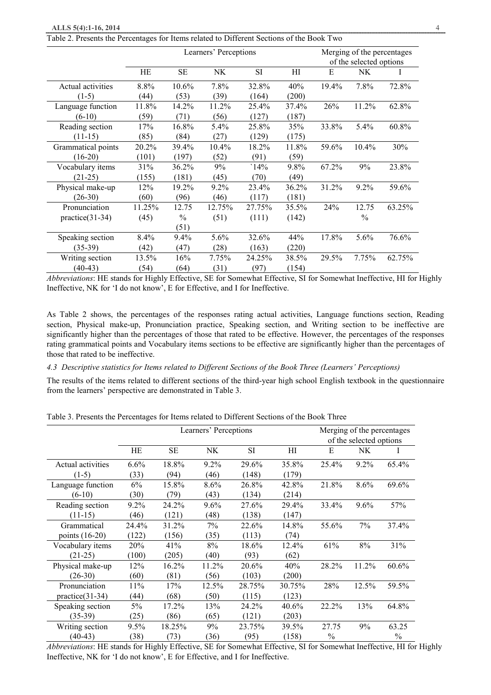| Table 2. Presents the Percentages for Items related to Different Sections of the Book Two |  |  |  |  |
|-------------------------------------------------------------------------------------------|--|--|--|--|
|-------------------------------------------------------------------------------------------|--|--|--|--|

|                    |        |               | Learners' Perceptions |           |       | Merging of the percentages<br>of the selected options |               |          |
|--------------------|--------|---------------|-----------------------|-----------|-------|-------------------------------------------------------|---------------|----------|
|                    | HE     | <b>SE</b>     | NK                    | <b>SI</b> | H     | E                                                     | NK.           | $\bf{l}$ |
| Actual activities  | 8.8%   | $10.6\%$      | 7.8%                  | 32.8%     | 40%   | 19.4%                                                 | 7.8%          | 72.8%    |
| $(1-5)$            | (44)   | (53)          | (39)                  | (164)     | (200) |                                                       |               |          |
| Language function  | 11.8%  | 14.2%         | 11.2%                 | 25.4%     | 37.4% | 26%                                                   | 11.2%         | 62.8%    |
| $(6-10)$           | (59)   | (71)          | (56)                  | (127)     | (187) |                                                       |               |          |
| Reading section    | 17%    | 16.8%         | 5.4%                  | 25.8%     | 35%   | 33.8%                                                 | 5.4%          | 60.8%    |
| $(11-15)$          | (85)   | (84)          | (27)                  | (129)     | (175) |                                                       |               |          |
| Grammatical points | 20.2%  | 39.4%         | 10.4%                 | 18.2%     | 11.8% | 59.6%                                                 | 10.4%         | 30%      |
| $(16-20)$          | (101)  | (197)         | (52)                  | (91)      | (59)  |                                                       |               |          |
| Vocabulary items   | 31%    | 36.2%         | 9%                    | 14%       | 9.8%  | 67.2%                                                 | 9%            | 23.8%    |
| $(21-25)$          | (155)  | (181)         | (45)                  | (70)      | (49)  |                                                       |               |          |
| Physical make-up   | 12%    | 19.2%         | 9.2%                  | 23.4%     | 36.2% | 31.2%                                                 | 9.2%          | 59.6%    |
| $(26-30)$          | (60)   | (96)          | (46)                  | (117)     | (181) |                                                       |               |          |
| Pronunciation      | 11.25% | 12.75         | 12.75%                | 27.75%    | 35.5% | 24%                                                   | 12.75         | 63.25%   |
| $practive(31-34)$  | (45)   | $\frac{0}{0}$ | (51)                  | (111)     | (142) |                                                       | $\frac{0}{0}$ |          |
|                    |        | (51)          |                       |           |       |                                                       |               |          |
| Speaking section   | 8.4%   | 9.4%          | 5.6%                  | 32.6%     | 44%   | 17.8%                                                 | 5.6%          | 76.6%    |
| $(35-39)$          | (42)   | (47)          | (28)                  | (163)     | (220) |                                                       |               |          |
| Writing section    | 13.5%  | 16%           | 7.75%                 | 24.25%    | 38.5% | 29.5%                                                 | 7.75%         | 62.75%   |
| $(40-43)$          | (54)   | (64)          | (31)                  | (97)      | (154) |                                                       |               |          |

*Abbreviations*: HE stands for Highly Effective, SE for Somewhat Effective, SI for Somewhat Ineffective, HI for Highly Ineffective, NK for 'I do not know', E for Effective, and I for Ineffective.

As Table 2 shows, the percentages of the responses rating actual activities, Language functions section, Reading section, Physical make-up, Pronunciation practice, Speaking section, and Writing section to be ineffective are significantly higher than the percentages of those that rated to be effective. However, the percentages of the responses rating grammatical points and Vocabulary items sections to be effective are significantly higher than the percentages of those that rated to be ineffective.

*4.3 Descriptive statistics for Items related to Different Sections of the Book Three (Learners' Perceptions)* 

The results of the items related to different sections of the third-year high school English textbook in the questionnaire from the learners' perspective are demonstrated in Table 3.

|                   |         |        | Learners' Perceptions |           |        | Merging of the percentages |                         |       |
|-------------------|---------|--------|-----------------------|-----------|--------|----------------------------|-------------------------|-------|
|                   |         |        |                       |           |        |                            | of the selected options |       |
|                   | HЕ      | SЕ     | NK                    | <b>SI</b> | HI     | E                          | NK                      |       |
| Actual activities | 6.6%    | 18.8%  | 9.2%                  | 29.6%     | 35.8%  | 25.4%                      | 9.2%                    | 65.4% |
| $(1-5)$           | (33)    | (94)   | (46)                  | (148)     | (179)  |                            |                         |       |
| Language function | 6%      | 15.8%  | 8.6%                  | 26.8%     | 42.8%  | 21.8%                      | 8.6%                    | 69.6% |
| $(6-10)$          | (30)    | (79)   | (43)                  | (134)     | (214)  |                            |                         |       |
| Reading section   | $9.2\%$ | 24.2%  | 9.6%                  | 27.6%     | 29.4%  | 33.4%                      | 9.6%                    | 57%   |
| $(11-15)$         | (46)    | (121)  | (48)                  | (138)     | (147)  |                            |                         |       |
| Grammatical       | 24.4%   | 31.2%  | 7%                    | 22.6%     | 14.8%  | 55.6%                      | 7%                      | 37.4% |
| points $(16-20)$  | (122)   | (156)  | (35)                  | (113)     | (74)   |                            |                         |       |
| Vocabulary items  | 20%     | 41%    | 8%                    | 18.6%     | 12.4%  | 61%                        | 8%                      | 31%   |
| $(21-25)$         | (100)   | (205)  | (40)                  | (93)      | (62)   |                            |                         |       |
| Physical make-up  | 12%     | 16.2%  | 11.2%                 | 20.6%     | 40%    | 28.2%                      | 11.2%                   | 60.6% |
| $(26-30)$         | (60)    | (81)   | (56)                  | (103)     | (200)  |                            |                         |       |
| Pronunciation     | 11%     | 17%    | 12.5%                 | 28.75%    | 30.75% | 28%                        | 12.5%                   | 59.5% |
| $practive(31-34)$ | (44)    | (68)   | (50)                  | (115)     | (123)  |                            |                         |       |
| Speaking section  | 5%      | 17.2%  | 13%                   | 24.2%     | 40.6%  | 22.2%                      | 13%                     | 64.8% |
| $(35-39)$         | (25)    | (86)   | (65)                  | (121)     | (203)  |                            |                         |       |
| Writing section   | 9.5%    | 18.25% | 9%                    | 23.75%    | 39.5%  | 27.75                      | 9%                      | 63.25 |
| $(40-43)$         | (38)    | (73)   | (36)                  | (95)      | (158)  | $\%$                       |                         | $\%$  |

Table 3. Presents the Percentages for Items related to Different Sections of the Book Three

*Abbreviations*: HE stands for Highly Effective, SE for Somewhat Effective, SI for Somewhat Ineffective, HI for Highly Ineffective, NK for 'I do not know', E for Effective, and I for Ineffective.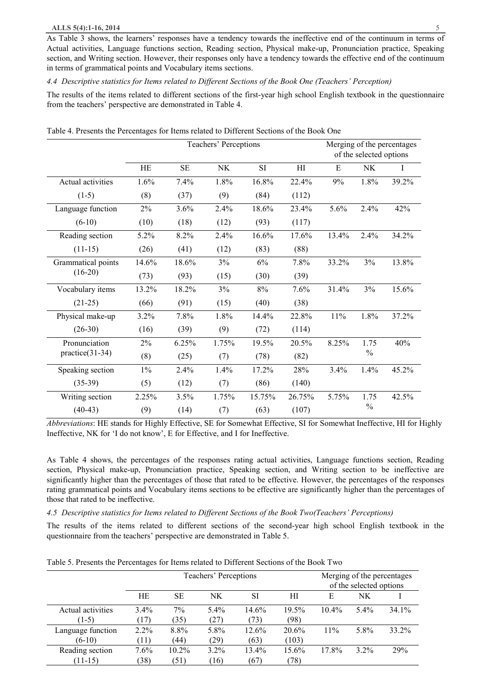#### **ALLS 5(4):1-16, 2014** 5

As Table 3 shows, the learners' responses have a tendency towards the ineffective end of the continuum in terms of Actual activities, Language functions section, Reading section, Physical make-up, Pronunciation practice, Speaking section, and Writing section. However, their responses only have a tendency towards the effective end of the continuum in terms of grammatical points and Vocabulary items sections.

*4.4 Descriptive statistics for Items related to Different Sections of the Book One (Teachers' Perception)* 

The results of the items related to different sections of the first-year high school English textbook in the questionnaire from the teachers' perspective are demonstrated in Table 4.

|                    |       | Teachers' Perceptions |       |           | of the selected options | Merging of the percentages |               |       |
|--------------------|-------|-----------------------|-------|-----------|-------------------------|----------------------------|---------------|-------|
|                    | HE    | <b>SE</b>             | NK    | <b>SI</b> | H1                      | E                          | <b>NK</b>     | Ι     |
| Actual activities  | 1.6%  | 7.4%                  | 1.8%  | 16.8%     | 22.4%                   | 9%                         | 1.8%          | 39.2% |
| $(1-5)$            | (8)   | (37)                  | (9)   | (84)      | (112)                   |                            |               |       |
| Language function  | 2%    | 3.6%                  | 2.4%  | 18.6%     | 23.4%                   | 5.6%                       | 2.4%          | 42%   |
| $(6-10)$           | (10)  | (18)                  | (12)  | (93)      | (117)                   |                            |               |       |
| Reading section    | 5.2%  | 8.2%                  | 2.4%  | 16.6%     | 17.6%                   | 13.4%                      | 2.4%          | 34.2% |
| $(11-15)$          | (26)  | (41)                  | (12)  | (83)      | (88)                    |                            |               |       |
| Grammatical points | 14.6% | 18.6%                 | 3%    | 6%        | 7.8%                    | 33.2%                      | 3%            | 13.8% |
| $(16-20)$          | (73)  | (93)                  | (15)  | (30)      | (39)                    |                            |               |       |
| Vocabulary items   | 13.2% | 18.2%                 | 3%    | 8%        | 7.6%                    | 31.4%                      | 3%            | 15.6% |
| $(21-25)$          | (66)  | (91)                  | (15)  | (40)      | (38)                    |                            |               |       |
| Physical make-up   | 3.2%  | 7.8%                  | 1.8%  | 14.4%     | 22.8%                   | 11%                        | 1.8%          | 37.2% |
| $(26-30)$          | (16)  | (39)                  | (9)   | (72)      | (114)                   |                            |               |       |
| Pronunciation      | 2%    | 6.25%                 | 1.75% | 19.5%     | 20.5%                   | 8.25%                      | 1.75          | 40%   |
| $practive(31-34)$  | (8)   | (25)                  | (7)   | (78)      | (82)                    |                            | $\%$          |       |
| Speaking section   | $1\%$ | 2.4%                  | 1.4%  | 17.2%     | 28%                     | 3.4%                       | 1.4%          | 45.2% |
| $(35-39)$          | (5)   | (12)                  | (7)   | (86)      | (140)                   |                            |               |       |
| Writing section    | 2.25% | 3.5%                  | 1.75% | 15.75%    | 26.75%                  | 5.75%                      | 1.75          | 42.5% |
| $(40-43)$          | (9)   | (14)                  | (7)   | (63)      | (107)                   |                            | $\frac{0}{0}$ |       |

Table 4. Presents the Percentages for Items related to Different Sections of the Book One

*Abbreviations*: HE stands for Highly Effective, SE for Somewhat Effective, SI for Somewhat Ineffective, HI for Highly Ineffective, NK for 'I do not know', E for Effective, and I for Ineffective.

As Table 4 shows, the percentages of the responses rating actual activities, Language functions section, Reading section, Physical make-up, Pronunciation practice, Speaking section, and Writing section to be ineffective are significantly higher than the percentages of those that rated to be effective. However, the percentages of the responses rating grammatical points and Vocabulary items sections to be effective are significantly higher than the percentages of those that rated to be ineffective.

## *4.5 Descriptive statistics for Items related to Different Sections of the Book Two(Teachers' Perceptions)*

The results of the items related to different sections of the second-year high school English textbook in the questionnaire from the teachers' perspective are demonstrated in Table 5.

|                   |         |           | Teachers' Perceptions |       | Merging of the percentages<br>of the selected options |          |         |          |
|-------------------|---------|-----------|-----------------------|-------|-------------------------------------------------------|----------|---------|----------|
|                   | НE      | <b>SE</b> | NK.                   | SI    | НI                                                    | Е        | NK      |          |
| Actual activities | $3.4\%$ | 7%        | 5.4%                  | 14.6% | 19.5%                                                 | $10.4\%$ | $5.4\%$ | $34.1\%$ |
| $(1-5)$           | 17)     | (35)      | (27)                  | (73)  | (98)                                                  |          |         |          |
| Language function | $2.2\%$ | 8.8%      | 5.8%                  | 12.6% | 20.6%                                                 | 11%      | 5.8%    | 33.2%    |
| $(6-10)$          | (11)    | (44)      | (29)                  | (63)  | (103)                                                 |          |         |          |
| Reading section   | 7.6%    | 10.2%     | $3.2\%$               | 13.4% | 15.6%                                                 | 17.8%    | $3.2\%$ | 29%      |
| $(11-15)$         | 38)     | (51)      | (16)                  | (67)  | (78)                                                  |          |         |          |

Table 5. Presents the Percentages for Items related to Different Sections of the Book Two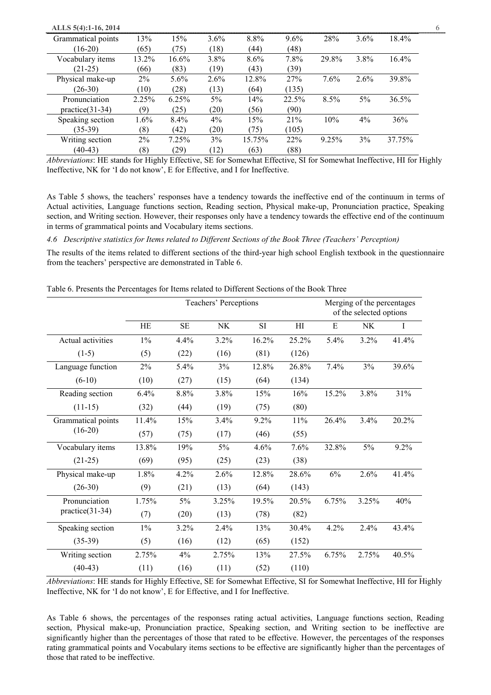| ALLS 5(4):1-16, 2014 |       |         |         |        |         |          |         |        | 6 |
|----------------------|-------|---------|---------|--------|---------|----------|---------|--------|---|
| Grammatical points   | 13%   | 15%     | $3.6\%$ | 8.8%   | $9.6\%$ | 28%      | $3.6\%$ | 18.4%  |   |
| $(16-20)$            | (65)  | (75)    | (18)    | (44)   | (48)    |          |         |        |   |
| Vocabulary items     | 13.2% | 16.6%   | 3.8%    | 8.6%   | 7.8%    | 29.8%    | 3.8%    | 16.4%  |   |
| $(21-25)$            | (66)  | (83)    | (19)    | (43)   | (39)    |          |         |        |   |
| Physical make-up     | $2\%$ | $5.6\%$ | $2.6\%$ | 12.8%  | 27%     | 7.6%     | 2.6%    | 39.8%  |   |
| $(26-30)$            | (10)  | (28)    | (13)    | (64)   | (135)   |          |         |        |   |
| Pronunciation        | 2.25% | 6.25%   | $5\%$   | 14%    | 22.5%   | 8.5%     | $5\%$   | 36.5%  |   |
| $practive(31-34)$    | (9)   | (25)    | (20)    | (56)   | (90)    |          |         |        |   |
| Speaking section     | 1.6%  | $8.4\%$ | $4\%$   | 15%    | 21%     | 10%      | $4\%$   | 36%    |   |
| $(35-39)$            | (8)   | (42)    | (20)    | (75)   | (105)   |          |         |        |   |
| Writing section      | $2\%$ | 7.25%   | 3%      | 15.75% | 22%     | $9.25\%$ | 3%      | 37.75% |   |
| $(40-43)$            | (8)   | (29)    | (12)    | (63)   | (88)    |          |         |        |   |

*Abbreviations*: HE stands for Highly Effective, SE for Somewhat Effective, SI for Somewhat Ineffective, HI for Highly Ineffective, NK for 'I do not know', E for Effective, and I for Ineffective.

As Table 5 shows, the teachers' responses have a tendency towards the ineffective end of the continuum in terms of Actual activities, Language functions section, Reading section, Physical make-up, Pronunciation practice, Speaking section, and Writing section. However, their responses only have a tendency towards the effective end of the continuum in terms of grammatical points and Vocabulary items sections.

*4.6 Descriptive statistics for Items related to Different Sections of the Book Three (Teachers' Perception)*

The results of the items related to different sections of the third-year high school English textbook in the questionnaire from the teachers' perspective are demonstrated in Table 6.

| Table 6. Presents the Percentages for Items related to Different Sections of the Book Three |  |  |
|---------------------------------------------------------------------------------------------|--|--|
|                                                                                             |  |  |

|                    |       |           | Teachers' Perceptions |       |        | Merging of the percentages<br>of the selected options |           |       |
|--------------------|-------|-----------|-----------------------|-------|--------|-------------------------------------------------------|-----------|-------|
|                    | HE    | <b>SE</b> | NK                    | SI    | H1     | E                                                     | <b>NK</b> | Ι     |
| Actual activities  | $1\%$ | 4.4%      | 3.2%                  | 16.2% | 25.2%  | 5.4%                                                  | 3.2%      | 41.4% |
| $(1-5)$            | (5)   | (22)      | (16)                  | (81)  | (126)  |                                                       |           |       |
| Language function  | $2\%$ | 5.4%      | 3%                    | 12.8% | 26.8%  | 7.4%                                                  | 3%        | 39.6% |
| $(6-10)$           | (10)  | (27)      | (15)                  | (64)  | (134)  |                                                       |           |       |
| Reading section    | 6.4%  | 8.8%      | 3.8%                  | 15%   | 16%    | 15.2%                                                 | 3.8%      | 31%   |
| $(11-15)$          | (32)  | (44)      | (19)                  | (75)  | (80)   |                                                       |           |       |
| Grammatical points | 11.4% | 15%       | 3.4%                  | 9.2%  | $11\%$ | 26.4%                                                 | 3.4%      | 20.2% |
| $(16-20)$          | (57)  | (75)      | (17)                  | (46)  | (55)   |                                                       |           |       |
| Vocabulary items   | 13.8% | 19%       | 5%                    | 4.6%  | 7.6%   | 32.8%                                                 | $5\%$     | 9.2%  |
| $(21-25)$          | (69)  | (95)      | (25)                  | (23)  | (38)   |                                                       |           |       |
| Physical make-up   | 1.8%  | 4.2%      | 2.6%                  | 12.8% | 28.6%  | $6\%$                                                 | 2.6%      | 41.4% |
| $(26-30)$          | (9)   | (21)      | (13)                  | (64)  | (143)  |                                                       |           |       |
| Pronunciation      | 1.75% | 5%        | 3.25%                 | 19.5% | 20.5%  | 6.75%                                                 | 3.25%     | 40%   |
| $practive(31-34)$  | (7)   | (20)      | (13)                  | (78)  | (82)   |                                                       |           |       |
| Speaking section   | $1\%$ | 3.2%      | 2.4%                  | 13%   | 30.4%  | 4.2%                                                  | 2.4%      | 43.4% |
| $(35-39)$          | (5)   | (16)      | (12)                  | (65)  | (152)  |                                                       |           |       |
| Writing section    | 2.75% | 4%        | 2.75%                 | 13%   | 27.5%  | 6.75%                                                 | 2.75%     | 40.5% |
| $(40-43)$          | (11)  | (16)      | (11)                  | (52)  | (110)  |                                                       |           |       |

*Abbreviations*: HE stands for Highly Effective, SE for Somewhat Effective, SI for Somewhat Ineffective, HI for Highly Ineffective, NK for 'I do not know', E for Effective, and I for Ineffective.

As Table 6 shows, the percentages of the responses rating actual activities, Language functions section, Reading section, Physical make-up, Pronunciation practice, Speaking section, and Writing section to be ineffective are significantly higher than the percentages of those that rated to be effective. However, the percentages of the responses rating grammatical points and Vocabulary items sections to be effective are significantly higher than the percentages of those that rated to be ineffective.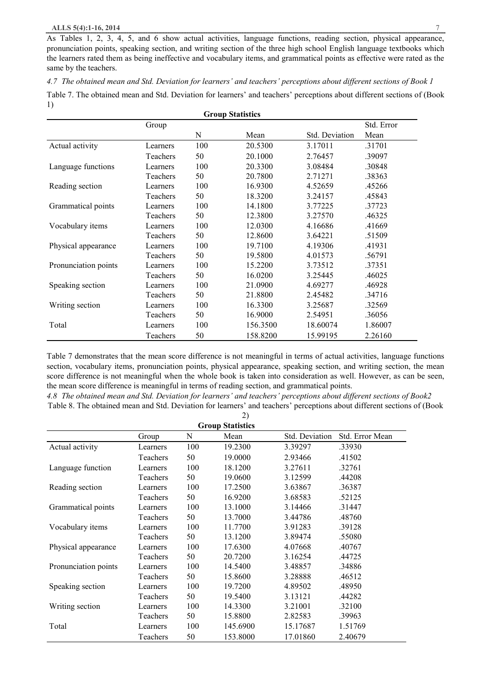As Tables 1, 2, 3, 4, 5, and 6 show actual activities, language functions, reading section, physical appearance, pronunciation points, speaking section, and writing section of the three high school English language textbooks which the learners rated them as being ineffective and vocabulary items, and grammatical points as effective were rated as the same by the teachers.

*4.7 The obtained mean and Std. Deviation for learners' and teachers' perceptions about different sections of Book 1*  Table 7. The obtained mean and Std. Deviation for learners' and teachers' perceptions about different sections of (Book 1) **Group Statistics**

| Group Statistics     |          |     |          |                |            |  |  |  |  |
|----------------------|----------|-----|----------|----------------|------------|--|--|--|--|
|                      | Group    |     |          |                | Std. Error |  |  |  |  |
|                      |          | N   | Mean     | Std. Deviation | Mean       |  |  |  |  |
| Actual activity      | Learners | 100 | 20.5300  | 3.17011        | .31701     |  |  |  |  |
|                      | Teachers | 50  | 20.1000  | 2.76457        | .39097     |  |  |  |  |
| Language functions   | Learners | 100 | 20.3300  | 3.08484        | .30848     |  |  |  |  |
|                      | Teachers | 50  | 20.7800  | 2.71271        | .38363     |  |  |  |  |
| Reading section      | Learners | 100 | 16.9300  | 4.52659        | .45266     |  |  |  |  |
|                      | Teachers | 50  | 18.3200  | 3.24157        | .45843     |  |  |  |  |
| Grammatical points   | Learners | 100 | 14.1800  | 3.77225        | .37723     |  |  |  |  |
|                      | Teachers | 50  | 12.3800  | 3.27570        | .46325     |  |  |  |  |
| Vocabulary items     | Learners | 100 | 12.0300  | 4.16686        | .41669     |  |  |  |  |
|                      | Teachers | 50  | 12.8600  | 3.64221        | .51509     |  |  |  |  |
| Physical appearance  | Learners | 100 | 19.7100  | 4.19306        | .41931     |  |  |  |  |
|                      | Teachers | 50  | 19.5800  | 4.01573        | .56791     |  |  |  |  |
| Pronunciation points | Learners | 100 | 15.2200  | 3.73512        | .37351     |  |  |  |  |
|                      | Teachers | 50  | 16.0200  | 3.25445        | .46025     |  |  |  |  |
| Speaking section     | Learners | 100 | 21.0900  | 4.69277        | .46928     |  |  |  |  |
|                      | Teachers | 50  | 21.8800  | 2.45482        | .34716     |  |  |  |  |
| Writing section      | Learners | 100 | 16.3300  | 3.25687        | .32569     |  |  |  |  |
|                      | Teachers | 50  | 16.9000  | 2.54951        | .36056     |  |  |  |  |
| Total                | Learners | 100 | 156.3500 | 18.60074       | 1.86007    |  |  |  |  |
|                      | Teachers | 50  | 158.8200 | 15.99195       | 2.26160    |  |  |  |  |

Table 7 demonstrates that the mean score difference is not meaningful in terms of actual activities, language functions section, vocabulary items, pronunciation points, physical appearance, speaking section, and writing section, the mean score difference is not meaningful when the whole book is taken into consideration as well. However, as can be seen, the mean score difference is meaningful in terms of reading section, and grammatical points.

*4.8 The obtained mean and Std. Deviation for learners' and teachers' perceptions about different sections of Book2* Table 8. The obtained mean and Std. Deviation for learners' and teachers' perceptions about different sections of (Book  $2)$ 

|                      |          |     | <b>Group Statistics</b> |                |                 |
|----------------------|----------|-----|-------------------------|----------------|-----------------|
|                      | Group    | N   | Mean                    | Std. Deviation | Std. Error Mean |
| Actual activity      | Learners | 100 | 19.2300                 | 3.39297        | .33930          |
|                      | Teachers | 50  | 19.0000                 | 2.93466        | .41502          |
| Language function    | Learners | 100 | 18.1200                 | 3.27611        | .32761          |
|                      | Teachers | 50  | 19.0600                 | 3.12599        | .44208          |
| Reading section      | Learners | 100 | 17.2500                 | 3.63867        | .36387          |
|                      | Teachers | 50  | 16.9200                 | 3.68583        | .52125          |
| Grammatical points   | Learners | 100 | 13.1000                 | 3.14466        | .31447          |
|                      | Teachers | 50  | 13.7000                 | 3.44786        | .48760          |
| Vocabulary items     | Learners | 100 | 11.7700                 | 3.91283        | .39128          |
|                      | Teachers | 50  | 13.1200                 | 3.89474        | .55080          |
| Physical appearance  | Learners | 100 | 17.6300                 | 4.07668        | .40767          |
|                      | Teachers | 50  | 20.7200                 | 3.16254        | .44725          |
| Pronunciation points | Learners | 100 | 14.5400                 | 3.48857        | .34886          |
|                      | Teachers | 50  | 15.8600                 | 3.28888        | .46512          |
| Speaking section     | Learners | 100 | 19.7200                 | 4.89502        | .48950          |
|                      | Teachers | 50  | 19.5400                 | 3.13121        | .44282          |
| Writing section      | Learners | 100 | 14.3300                 | 3.21001        | .32100          |
|                      | Teachers | 50  | 15.8800                 | 2.82583        | .39963          |
| Total                | Learners | 100 | 145.6900                | 15.17687       | 1.51769         |
|                      | Teachers | 50  | 153.8000                | 17.01860       | 2.40679         |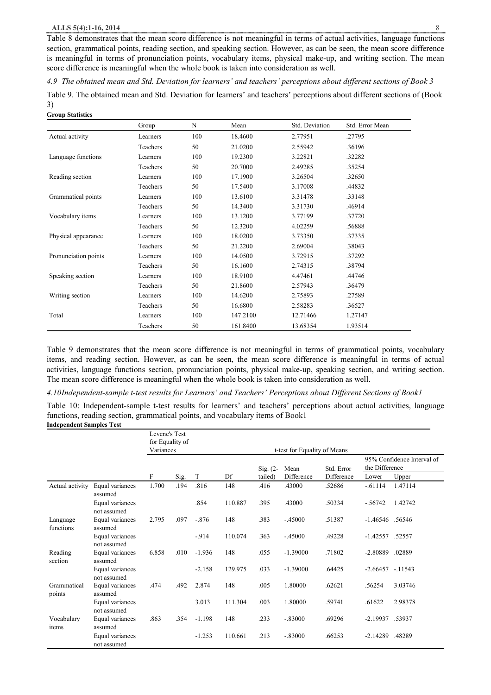#### **ALLS 5(4):1-16, 2014** 8

Table 8 demonstrates that the mean score difference is not meaningful in terms of actual activities, language functions section, grammatical points, reading section, and speaking section. However, as can be seen, the mean score difference is meaningful in terms of pronunciation points, vocabulary items, physical make-up, and writing section. The mean score difference is meaningful when the whole book is taken into consideration as well.

*4.9 The obtained mean and Std. Deviation for learners' and teachers' perceptions about different sections of Book 3* 

Table 9. The obtained mean and Std. Deviation for learners' and teachers' perceptions about different sections of (Book 3) **Group Statistics**

| urvup statistics     |          |     |          |                |                 |
|----------------------|----------|-----|----------|----------------|-----------------|
|                      | Group    | N   | Mean     | Std. Deviation | Std. Error Mean |
| Actual activity      | Learners | 100 | 18.4600  | 2.77951        | .27795          |
|                      | Teachers | 50  | 21.0200  | 2.55942        | .36196          |
| Language functions   | Learners | 100 | 19.2300  | 3.22821        | .32282          |
|                      | Teachers | 50  | 20.7000  | 2.49285        | .35254          |
| Reading section      | Learners | 100 | 17.1900  | 3.26504        | .32650          |
|                      | Teachers | 50  | 17.5400  | 3.17008        | .44832          |
| Grammatical points   | Learners | 100 | 13.6100  | 3.31478        | .33148          |
|                      | Teachers | 50  | 14.3400  | 3.31730        | .46914          |
| Vocabulary items     | Learners | 100 | 13.1200  | 3.77199        | .37720          |
|                      | Teachers | 50  | 12.3200  | 4.02259        | .56888          |
| Physical appearance  | Learners | 100 | 18.0200  | 3.73350        | .37335          |
|                      | Teachers | 50  | 21.2200  | 2.69004        | .38043          |
| Pronunciation points | Learners | 100 | 14.0500  | 3.72915        | .37292          |
|                      | Teachers | 50  | 16.1600  | 2.74315        | .38794          |
| Speaking section     | Learners | 100 | 18.9100  | 4.47461        | .44746          |
|                      | Teachers | 50  | 21.8600  | 2.57943        | .36479          |
| Writing section      | Learners | 100 | 14.6200  | 2.75893        | .27589          |
|                      | Teachers | 50  | 16.6800  | 2.58283        | .36527          |
| Total                | Learners | 100 | 147.2100 | 12.71466       | 1.27147         |
|                      | Teachers | 50  | 161.8400 | 13.68354       | 1.93514         |

Table 9 demonstrates that the mean score difference is not meaningful in terms of grammatical points, vocabulary items, and reading section. However, as can be seen, the mean score difference is meaningful in terms of actual activities, language functions section, pronunciation points, physical make-up, speaking section, and writing section. The mean score difference is meaningful when the whole book is taken into consideration as well.

*4.10Independent-sample t-test results for Learners' and Teachers' Perceptions about Different Sections of Book1* 

Table 10: Independent-sample t-test results for learners' and teachers' perceptions about actual activities, language functions, reading section, grammatical points, and vocabulary items of Book1 **Independent Samples Test**

|                       |                                | Levene's Test<br>for Equality of |      |          |         |             |                              |            |                    |                            |
|-----------------------|--------------------------------|----------------------------------|------|----------|---------|-------------|------------------------------|------------|--------------------|----------------------------|
|                       |                                | Variances                        |      |          |         |             | t-test for Equality of Means |            |                    |                            |
|                       |                                |                                  |      |          |         | $Sig. (2 -$ | Mean                         | Std. Error | the Difference     | 95% Confidence Interval of |
|                       |                                | F                                | Sig. | T        | Df      | tailed)     | Difference                   | Difference | Lower              | Upper                      |
| Actual activity       | Equal variances<br>assumed     | 1.700                            | .194 | .816     | 148     | .416        | .43000                       | .52686     | $-0.61114$         | 1.47114                    |
|                       | Equal variances<br>not assumed |                                  |      | .854     | 110.887 | .395        | .43000                       | .50334     | $-.56742$          | 1.42742                    |
| Language<br>functions | Equal variances<br>assumed     | 2.795                            | .097 | $-.876$  | 148     | .383        | $-.45000$                    | .51387     | -1.46546 .56546    |                            |
|                       | Equal variances<br>not assumed |                                  |      | $-914$   | 110.074 | .363        | $-.45000$                    | .49228     | -1.42557 .52557    |                            |
| Reading<br>section    | Equal variances<br>assumed     | 6.858                            | .010 | $-1.936$ | 148     | .055        | $-1.39000$                   | .71802     | $-2.80889$         | .02889                     |
|                       | Equal variances<br>not assumed |                                  |      | $-2.158$ | 129.975 | .033        | $-1.39000$                   | .64425     | $-2.66457 - 11543$ |                            |
| Grammatical<br>points | Equal variances<br>assumed     | .474                             | .492 | 2.874    | 148     | .005        | 1.80000                      | .62621     | .56254             | 3.03746                    |
|                       | Equal variances<br>not assumed |                                  |      | 3.013    | 111.304 | .003        | 1.80000                      | .59741     | .61622             | 2.98378                    |
| Vocabulary<br>items   | Equal variances<br>assumed     | .863                             | .354 | $-1.198$ | 148     | .233        | $-.83000$                    | .69296     | -2.19937 .53937    |                            |
|                       | Equal variances<br>not assumed |                                  |      | $-1.253$ | 110.661 | .213        | $-.83000$                    | .66253     | $-2.14289$         | .48289                     |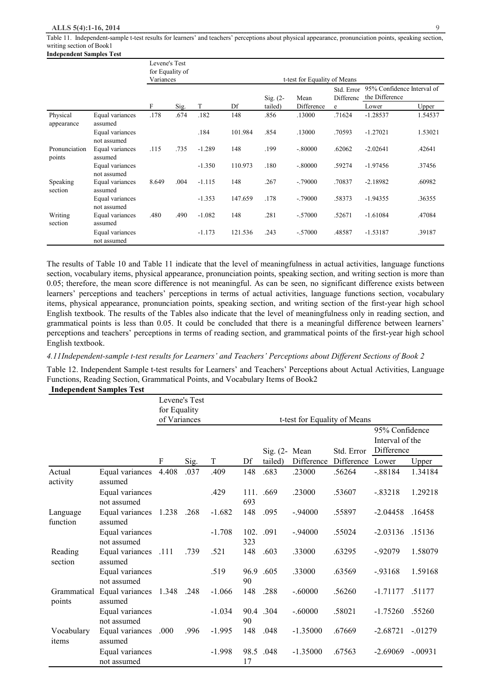#### **ALLS 5(4):1-16, 2014** 9

Table 11. Independent-sample t-test results for learners' and teachers' perceptions about physical appearance, pronunciation points, speaking section, writing section of Book1 **Independent Samples Test** 

|                         |                                | Levene's Test<br>Variances | for Equality of |          |         |            | t-test for Equality of Means |                         |                |                            |
|-------------------------|--------------------------------|----------------------------|-----------------|----------|---------|------------|------------------------------|-------------------------|----------------|----------------------------|
|                         |                                |                            |                 |          |         | $Sig. (2-$ | Mean                         | Std. Error<br>Differenc | the Difference | 95% Confidence Interval of |
|                         |                                | F                          | Sig.            | T        | Df      | tailed)    | Difference                   | e                       | Lower          | Upper                      |
| Physical<br>appearance  | Equal variances<br>assumed     | .178                       | .674            | .182     | 148     | .856       | .13000                       | .71624                  | $-1.28537$     | 1.54537                    |
|                         | Equal variances<br>not assumed |                            |                 | .184     | 101.984 | .854       | .13000                       | .70593                  | $-1.27021$     | 1.53021                    |
| Pronunciation<br>points | Equal variances<br>assumed     | .115                       | .735            | $-1.289$ | 148     | .199       | $-.80000$                    | .62062                  | $-2.02641$     | .42641                     |
|                         | Equal variances<br>not assumed |                            |                 | $-1.350$ | 110.973 | .180       | $-.80000$                    | .59274                  | $-1.97456$     | .37456                     |
| Speaking<br>section     | Equal variances<br>assumed     | 8.649                      | .004            | $-1.115$ | 148     | .267       | $-.79000$                    | .70837                  | $-2.18982$     | .60982                     |
|                         | Equal variances<br>not assumed |                            |                 | $-1.353$ | 147.659 | .178       | $-.79000$                    | .58373                  | $-1.94355$     | .36355                     |
| Writing<br>section      | Equal variances<br>assumed     | .480                       | .490            | $-1.082$ | 148     | .281       | $-.57000$                    | .52671                  | $-1.61084$     | .47084                     |
|                         | Equal variances<br>not assumed |                            |                 | $-1.173$ | 121.536 | .243       | $-.57000$                    | .48587                  | $-1.53187$     | .39187                     |

The results of Table 10 and Table 11 indicate that the level of meaningfulness in actual activities, language functions section, vocabulary items, physical appearance, pronunciation points, speaking section, and writing section is more than 0.05; therefore, the mean score difference is not meaningful. As can be seen, no significant difference exists between learners' perceptions and teachers' perceptions in terms of actual activities, language functions section, vocabulary items, physical appearance, pronunciation points, speaking section, and writing section of the first-year high school English textbook. The results of the Tables also indicate that the level of meaningfulness only in reading section, and grammatical points is less than 0.05. It could be concluded that there is a meaningful difference between learners' perceptions and teachers' perceptions in terms of reading section, and grammatical points of the first-year high school English textbook.

#### *4.11Independent-sample t-test results for Learners' and Teachers' Perceptions about Different Sections of Book 2*

Table 12. Independent Sample t-test results for Learners' and Teachers' Perceptions about Actual Activities, Language Functions, Reading Section, Grammatical Points, and Vocabulary Items of Book2

#### **Independent Samples Test**

|                       |                                | for Equality | Levene's Test |          |             |                          |                              |            |                                                 |           |
|-----------------------|--------------------------------|--------------|---------------|----------|-------------|--------------------------|------------------------------|------------|-------------------------------------------------|-----------|
|                       |                                | of Variances |               |          |             |                          | t-test for Equality of Means |            |                                                 |           |
|                       |                                |              |               |          |             | Sig. $(2 - \text{Mean})$ |                              | Std. Error | 95% Confidence<br>Interval of the<br>Difference |           |
|                       |                                | F            | Sig.          | $\rm T$  | Df          | tailed)                  | Difference                   | Difference | Lower                                           | Upper     |
| Actual<br>activity    | Equal variances<br>assumed     | 4.408        | .037          | .409     | 148         | .683                     | .23000                       | .56264     | $-.88184$                                       | 1.34184   |
|                       | Equal variances<br>not assumed |              |               | .429     | 111.<br>693 | .669                     | .23000                       | .53607     | $-.83218$                                       | 1.29218   |
| Language<br>function  | Equal variances<br>assumed     | 1.238        | .268          | $-1.682$ | 148         | .095                     | $-.94000$                    | .55897     | $-2.04458$                                      | .16458    |
|                       | Equal variances<br>not assumed |              |               | $-1.708$ | 102.<br>323 | .091                     | $-94000$                     | .55024     | $-2.03136$                                      | .15136    |
| Reading<br>section    | Equal variances<br>assumed     | .111         | .739          | .521     | 148         | .603                     | .33000                       | .63295     | $-92079$                                        | 1.58079   |
|                       | Equal variances<br>not assumed |              |               | .519     | 96.9<br>90  | .605                     | .33000                       | .63569     | $-93168$                                        | 1.59168   |
| Grammatical<br>points | Equal variances<br>assumed     | 1.348        | .248          | $-1.066$ | 148         | .288                     | $-.60000$                    | .56260     | $-1.71177$                                      | .51177    |
|                       | Equal variances<br>not assumed |              |               | $-1.034$ | 90          | 90.4 .304                | $-.60000$                    | .58021     | $-1.75260$                                      | .55260    |
| Vocabulary<br>items   | Equal variances<br>assumed     | .000         | .996          | $-1.995$ | 148         | .048                     | $-1.35000$                   | .67669     | $-2.68721$                                      | $-01279$  |
|                       | Equal variances<br>not assumed |              |               | $-1.998$ | 98.5<br>17  | .048                     | $-1.35000$                   | .67563     | $-2.69069$                                      | $-.00931$ |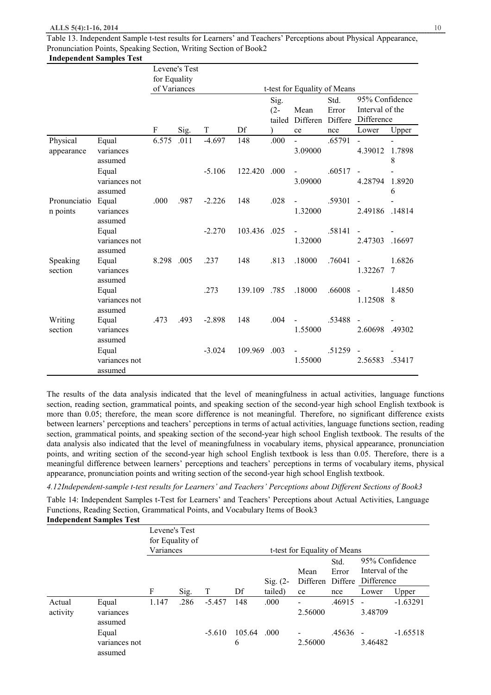Table 13. Independent Sample t-test results for Learners' and Teachers' Perceptions about Physical Appearance, Pronunciation Points, Speaking Section, Writing Section of Book2 **Independent Samples Test**

|                          |                                   |              | Levene's Test |          |         |                          |                              |               |                                                         |             |
|--------------------------|-----------------------------------|--------------|---------------|----------|---------|--------------------------|------------------------------|---------------|---------------------------------------------------------|-------------|
|                          |                                   | for Equality |               |          |         |                          |                              |               |                                                         |             |
|                          |                                   | of Variances |               |          |         |                          | t-test for Equality of Means |               |                                                         |             |
|                          |                                   |              |               |          |         | Sig.<br>$(2 -$<br>tailed | Mean<br>Differen             | Std.<br>Error | 95% Confidence<br>Interval of the<br>Differe Difference |             |
|                          |                                   | F            | Sig.          | T        | Df      |                          | ce                           | nce           | Lower                                                   | Upper       |
| Physical<br>appearance   | Equal<br>variances<br>assumed     | 6.575        | .011          | $-4.697$ | 148     | .000                     | 3.09000                      | .65791        | 4.39012                                                 | 1.7898<br>8 |
|                          | Equal<br>variances not<br>assumed |              |               | $-5.106$ | 122.420 | .000                     | 3.09000                      | .60517        | 4.28794                                                 | 1.8920<br>6 |
| Pronunciatio<br>n points | Equal<br>variances<br>assumed     | .000         | .987          | $-2.226$ | 148     | .028                     | 1.32000                      | .59301        | 2.49186                                                 | .14814      |
|                          | Equal<br>variances not<br>assumed |              |               | $-2.270$ | 103.436 | .025                     | $\blacksquare$<br>1.32000    | .58141        | 2.47303                                                 | .16697      |
| Speaking<br>section      | Equal<br>variances<br>assumed     | 8.298        | .005          | .237     | 148     | .813                     | .18000                       | .76041        | 1.32267                                                 | 1.6826<br>7 |
|                          | Equal<br>variances not<br>assumed |              |               | .273     | 139.109 | .785                     | .18000                       | .66008        | $\blacksquare$<br>1.12508                               | 1.4850<br>8 |
| Writing<br>section       | Equal<br>variances<br>assumed     | .473         | .493          | $-2.898$ | 148     | .004                     | 1.55000                      | .53488        | 2.60698                                                 | .49302      |
|                          | Equal<br>variances not<br>assumed |              |               | $-3.024$ | 109.969 | .003                     | 1.55000                      | .51259        | 2.56583                                                 | .53417      |

The results of the data analysis indicated that the level of meaningfulness in actual activities, language functions section, reading section, grammatical points, and speaking section of the second-year high school English textbook is more than 0.05; therefore, the mean score difference is not meaningful. Therefore, no significant difference exists between learners' perceptions and teachers' perceptions in terms of actual activities, language functions section, reading section, grammatical points, and speaking section of the second-year high school English textbook. The results of the data analysis also indicated that the level of meaningfulness in vocabulary items, physical appearance, pronunciation points, and writing section of the second-year high school English textbook is less than 0.05. Therefore, there is a meaningful difference between learners' perceptions and teachers' perceptions in terms of vocabulary items, physical appearance, pronunciation points and writing section of the second-year high school English textbook.

*4.12Independent-sample t-test results for Learners' and Teachers' Perceptions about Different Sections of Book3* 

Table 14: Independent Samples t-Test for Learners' and Teachers' Perceptions about Actual Activities, Language Functions, Reading Section, Grammatical Points, and Vocabulary Items of Book3 **Independent Samples Test**

|                    | ннисрениент запіріся теят         |               |                 |          |             |             |                                     |                          |                                                 |            |
|--------------------|-----------------------------------|---------------|-----------------|----------|-------------|-------------|-------------------------------------|--------------------------|-------------------------------------------------|------------|
|                    |                                   | Levene's Test | for Equality of |          |             |             |                                     |                          |                                                 |            |
|                    |                                   | Variances     |                 |          |             |             | t-test for Equality of Means        |                          |                                                 |            |
|                    |                                   |               |                 |          |             | Sig. $(2 -$ | Mean<br>Differen                    | Std.<br>Error<br>Differe | 95% Confidence<br>Interval of the<br>Difference |            |
|                    |                                   | F             | Sig.            | T        | Df          | tailed)     | ce                                  | nce                      | Lower                                           | Upper      |
| Actual<br>activity | Equal<br>variances<br>assumed     | 1.147         | .286            | $-5.457$ | 148         | .000        | $\overline{\phantom{a}}$<br>2.56000 | .46915                   | 3.48709                                         | $-1.63291$ |
|                    | Equal<br>variances not<br>assumed |               |                 | $-5.610$ | 105.64<br>6 | .000        | 2.56000                             | .45636                   | 3.46482                                         | $-1.65518$ |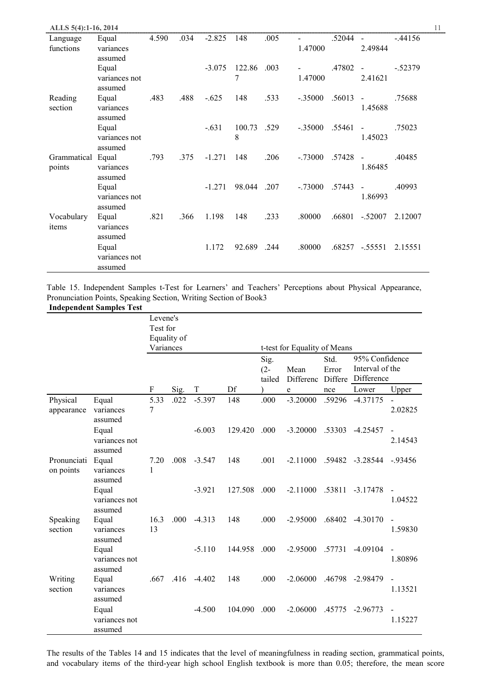| ALLS 5(4):1-16, 2014  |                                              |       |      |          |             |      |           |        |                           | 11        |
|-----------------------|----------------------------------------------|-------|------|----------|-------------|------|-----------|--------|---------------------------|-----------|
| Language<br>functions | Equal<br>variances                           | 4.590 | .034 | $-2.825$ | 148         | .005 | 1.47000   | .52044 | $\blacksquare$<br>2.49844 | $-44156$  |
|                       | assumed<br>Equal<br>variances not            |       |      | $-3.075$ | 122.86<br>7 | .003 | 1.47000   | .47802 | $\overline{a}$<br>2.41621 | $-.52379$ |
| Reading<br>section    | assumed<br>Equal<br>variances                | .483  | .488 | $-.625$  | 148         | .533 | $-.35000$ | .56013 | $\blacksquare$<br>1.45688 | .75688    |
|                       | assumed<br>Equal<br>variances not<br>assumed |       |      | $-.631$  | 100.73<br>8 | .529 | $-.35000$ | .55461 | $\blacksquare$<br>1.45023 | .75023    |
| Grammatical<br>points | Equal<br>variances<br>assumed                | .793  | .375 | $-1.271$ | 148         | .206 | $-.73000$ | .57428 | $\blacksquare$<br>1.86485 | .40485    |
|                       | Equal<br>variances not<br>assumed            |       |      | $-1.271$ | 98.044      | .207 | $-.73000$ | .57443 | $\blacksquare$<br>1.86993 | .40993    |
| Vocabulary<br>items   | Equal<br>variances<br>assumed                | .821  | .366 | 1.198    | 148         | .233 | .80000    | .66801 | $-.52007$                 | 2.12007   |
|                       | Equal<br>variances not<br>assumed            |       |      | 1.172    | 92.689      | .244 | .80000    | .68257 | $-.55551$                 | 2.15551   |

Table 15. Independent Samples t-Test for Learners' and Teachers' Perceptions about Physical Appearance, Pronunciation Points, Speaking Section, Writing Section of Book3 **Independent Samples Test**

|                          | списне эаш<br>,                   | Levene's   |             |             |         |                  |                              |                  |                               |                                     |
|--------------------------|-----------------------------------|------------|-------------|-------------|---------|------------------|------------------------------|------------------|-------------------------------|-------------------------------------|
|                          |                                   | Test for   |             |             |         |                  |                              |                  |                               |                                     |
|                          |                                   |            | Equality of |             |         |                  |                              |                  |                               |                                     |
|                          |                                   | Variances  |             |             |         |                  | t-test for Equality of Means |                  |                               |                                     |
|                          |                                   |            |             |             |         | Sig.             |                              | Std.             | 95% Confidence                |                                     |
|                          |                                   |            |             |             |         | $(2 -$<br>tailed | Mean<br>Differenc            | Error<br>Differe | Interval of the<br>Difference |                                     |
|                          |                                   | F          | Sig.        | $\mathbf T$ | Df      |                  | e                            | nce              | Lower                         | Upper                               |
| Physical<br>appearance   | Equal<br>variances<br>assumed     | 5.33<br>7  | .022        | $-5.397$    | 148     | .000             | $-3.20000$                   | .59296           | $-4.37175$                    | 2.02825                             |
|                          | Equal<br>variances not<br>assumed |            |             | $-6.003$    | 129.420 | .000             | $-3.20000$                   | .53303           | $-4.25457$                    | 2.14543                             |
| Pronunciati<br>on points | Equal<br>variances<br>assumed     | 7.20<br>1  | .008        | $-3.547$    | 148     | .001             | $-2.11000$                   | .59482           | $-3.28544$                    | $-0.93456$                          |
|                          | Equal<br>variances not<br>assumed |            |             | $-3.921$    | 127.508 | .000             | $-2.11000$                   | .53811           | $-3.17478$                    | 1.04522                             |
| Speaking<br>section      | Equal<br>variances<br>assumed     | 16.3<br>13 | .000        | $-4.313$    | 148     | .000             | $-2.95000$                   | .68402           | $-4.30170$                    | $\overline{\phantom{a}}$<br>1.59830 |
|                          | Equal<br>variances not<br>assumed |            |             | $-5.110$    | 144.958 | .000             | $-2.95000$                   | .57731           | $-4.09104$                    | $\blacksquare$<br>1.80896           |
| Writing<br>section       | Equal<br>variances<br>assumed     | .667       | .416        | $-4.402$    | 148     | .000             | $-2.06000$                   | .46798           | $-2.98479$                    | 1.13521                             |
|                          | Equal<br>variances not<br>assumed |            |             | $-4.500$    | 104.090 | .000             | $-2.06000$                   | .45775           | $-2.96773$                    | 1.15227                             |

The results of the Tables 14 and 15 indicates that the level of meaningfulness in reading section, grammatical points, and vocabulary items of the third-year high school English textbook is more than 0.05; therefore, the mean score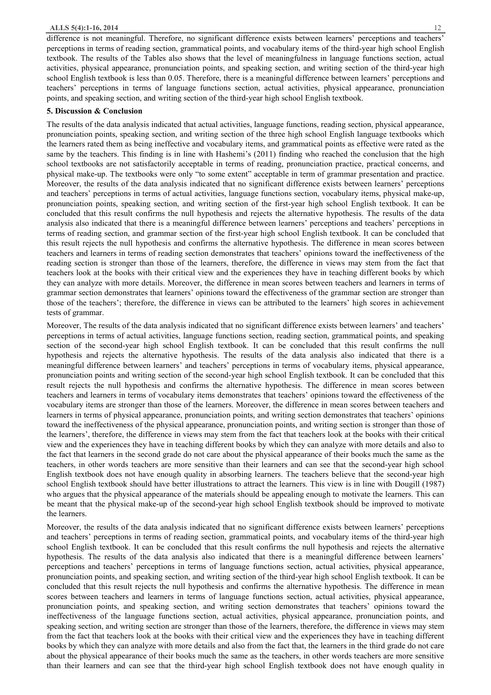difference is not meaningful. Therefore, no significant difference exists between learners' perceptions and teachers' perceptions in terms of reading section, grammatical points, and vocabulary items of the third-year high school English textbook. The results of the Tables also shows that the level of meaningfulness in language functions section, actual activities, physical appearance, pronunciation points, and speaking section, and writing section of the third-year high school English textbook is less than 0.05. Therefore, there is a meaningful difference between learners' perceptions and teachers' perceptions in terms of language functions section, actual activities, physical appearance, pronunciation points, and speaking section, and writing section of the third-year high school English textbook.

#### **5. Discussion & Conclusion**

The results of the data analysis indicated that actual activities, language functions, reading section, physical appearance, pronunciation points, speaking section, and writing section of the three high school English language textbooks which the learners rated them as being ineffective and vocabulary items, and grammatical points as effective were rated as the same by the teachers. This finding is in line with Hashemi's (2011) finding who reached the conclusion that the high school textbooks are not satisfactorily acceptable in terms of reading, pronunciation practice, practical concerns, and physical make-up. The textbooks were only "to some extent" acceptable in term of grammar presentation and practice. Moreover, the results of the data analysis indicated that no significant difference exists between learners' perceptions and teachers' perceptions in terms of actual activities, language functions section, vocabulary items, physical make-up, pronunciation points, speaking section, and writing section of the first-year high school English textbook. It can be concluded that this result confirms the null hypothesis and rejects the alternative hypothesis. The results of the data analysis also indicated that there is a meaningful difference between learners' perceptions and teachers' perceptions in terms of reading section, and grammar section of the first-year high school English textbook. It can be concluded that this result rejects the null hypothesis and confirms the alternative hypothesis. The difference in mean scores between teachers and learners in terms of reading section demonstrates that teachers' opinions toward the ineffectiveness of the reading section is stronger than those of the learners, therefore, the difference in views may stem from the fact that teachers look at the books with their critical view and the experiences they have in teaching different books by which they can analyze with more details. Moreover, the difference in mean scores between teachers and learners in terms of grammar section demonstrates that learners' opinions toward the effectiveness of the grammar section are stronger than those of the teachers'; therefore, the difference in views can be attributed to the learners' high scores in achievement tests of grammar.

Moreover, The results of the data analysis indicated that no significant difference exists between learners' and teachers' perceptions in terms of actual activities, language functions section, reading section, grammatical points, and speaking section of the second-year high school English textbook. It can be concluded that this result confirms the null hypothesis and rejects the alternative hypothesis. The results of the data analysis also indicated that there is a meaningful difference between learners' and teachers' perceptions in terms of vocabulary items, physical appearance, pronunciation points and writing section of the second-year high school English textbook. It can be concluded that this result rejects the null hypothesis and confirms the alternative hypothesis. The difference in mean scores between teachers and learners in terms of vocabulary items demonstrates that teachers' opinions toward the effectiveness of the vocabulary items are stronger than those of the learners. Moreover, the difference in mean scores between teachers and learners in terms of physical appearance, pronunciation points, and writing section demonstrates that teachers' opinions toward the ineffectiveness of the physical appearance, pronunciation points, and writing section is stronger than those of the learners', therefore, the difference in views may stem from the fact that teachers look at the books with their critical view and the experiences they have in teaching different books by which they can analyze with more details and also to the fact that learners in the second grade do not care about the physical appearance of their books much the same as the teachers, in other words teachers are more sensitive than their learners and can see that the second-year high school English textbook does not have enough quality in absorbing learners. The teachers believe that the second-year high school English textbook should have better illustrations to attract the learners. This view is in line with Dougill (1987) who argues that the physical appearance of the materials should be appealing enough to motivate the learners. This can be meant that the physical make-up of the second-year high school English textbook should be improved to motivate the learners.

Moreover, the results of the data analysis indicated that no significant difference exists between learners' perceptions and teachers' perceptions in terms of reading section, grammatical points, and vocabulary items of the third-year high school English textbook. It can be concluded that this result confirms the null hypothesis and rejects the alternative hypothesis. The results of the data analysis also indicated that there is a meaningful difference between learners' perceptions and teachers' perceptions in terms of language functions section, actual activities, physical appearance, pronunciation points, and speaking section, and writing section of the third-year high school English textbook. It can be concluded that this result rejects the null hypothesis and confirms the alternative hypothesis. The difference in mean scores between teachers and learners in terms of language functions section, actual activities, physical appearance, pronunciation points, and speaking section, and writing section demonstrates that teachers' opinions toward the ineffectiveness of the language functions section, actual activities, physical appearance, pronunciation points, and speaking section, and writing section are stronger than those of the learners, therefore, the difference in views may stem from the fact that teachers look at the books with their critical view and the experiences they have in teaching different books by which they can analyze with more details and also from the fact that, the learners in the third grade do not care about the physical appearance of their books much the same as the teachers, in other words teachers are more sensitive than their learners and can see that the third-year high school English textbook does not have enough quality in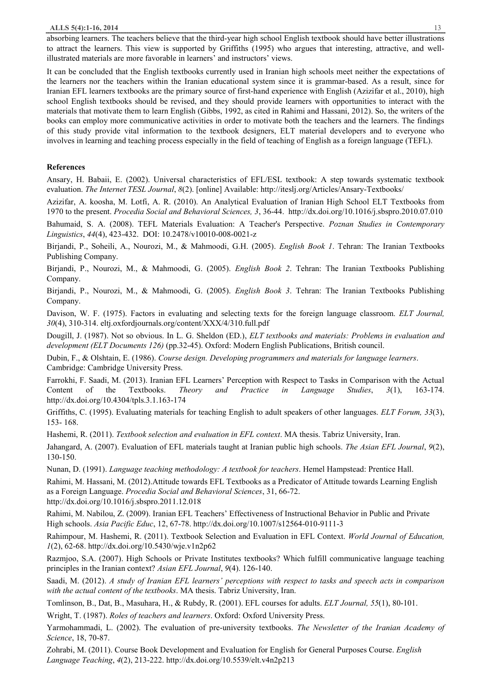absorbing learners. The teachers believe that the third-year high school English textbook should have better illustrations to attract the learners. This view is supported by Griffiths (1995) who argues that interesting, attractive, and wellillustrated materials are more favorable in learners' and instructors' views.

It can be concluded that the English textbooks currently used in Iranian high schools meet neither the expectations of the learners nor the teachers within the Iranian educational system since it is grammar-based. As a result, since for Iranian EFL learners textbooks are the primary source of first-hand experience with English (Azizifar et al., 2010), high school English textbooks should be revised, and they should provide learners with opportunities to interact with the materials that motivate them to learn English (Gibbs, 1992, as cited in Rahimi and Hassani, 2012). So, the writers of the books can employ more communicative activities in order to motivate both the teachers and the learners. The findings of this study provide vital information to the textbook designers, ELT material developers and to everyone who involves in learning and teaching process especially in the field of teaching of English as a foreign language (TEFL).

#### **References**

Ansary, H. Babaii, E. (2002). Universal characteristics of EFL/ESL textbook: A step towards systematic textbook evaluation. *The Internet TESL Journal*, *8*(2). [online] Available: http://iteslj.org/Articles/Ansary-Textbooks/

Azizifar, A. koosha, M. Lotfi, A. R. (2010). An Analytical Evaluation of Iranian High School ELT Textbooks from 1970 to the present. *Procedia Social and Behavioral Sciences, 3*, 36-44. http://dx.doi.org/10.1016/j.sbspro.2010.07.010

Bahumaid, S. A. (2008). TEFL Materials Evaluation: A Teacher's Perspective. *Poznan Studies in Contemporary Linguistics*, *44*(4), 423-432. DOI: 10.2478/v10010-008-0021-z

Birjandi, P., Soheili, A., Nourozi, M., & Mahmoodi, G.H. (2005). *English Book 1*. Tehran: The Iranian Textbooks Publishing Company.

Birjandi, P., Nourozi, M., & Mahmoodi, G. (2005). *English Book 2*. Tehran: The Iranian Textbooks Publishing Company.

Birjandi, P., Nourozi, M., & Mahmoodi, G. (2005). *English Book 3*. Tehran: The Iranian Textbooks Publishing Company.

Davison, W. F. (1975). Factors in evaluating and selecting texts for the foreign language classroom. *ELT Journal, 30*(4), 310-314. eltj.oxfordjournals.org/content/XXX/4/310.full.pdf

Dougill, J. (1987). Not so obvious. In L. G. Sheldon (ED.), *ELT textbooks and materials: Problems in evaluation and development (ELT Documents 126)* (pp.32-45). Oxford: Modern English Publications, British council.

Dubin, F., & Olshtain, E. (1986). *Course design. Developing programmers and materials for language learners*. Cambridge: Cambridge University Press.

Farrokhi, F. Saadi, M. (2013). Iranian EFL Learners' Perception with Respect to Tasks in Comparison with the Actual Content of the Textbooks. *Theory and Practice in Language Studies*, *3*(1), 163-174. http://dx.doi.org/10.4304/tpls.3.1.163-174

Griffiths, C. (1995). Evaluating materials for teaching English to adult speakers of other languages. *ELT Forum, 33*(3), 153- 168.

Hashemi, R. (2011). *Textbook selection and evaluation in EFL context*. MA thesis. Tabriz University, Iran.

Jahangard, A. (2007). Evaluation of EFL materials taught at Iranian public high schools. *The Asian EFL Journal*, *9*(2), 130-150.

Nunan, D. (1991). *Language teaching methodology: A textbook for teachers*. Hemel Hampstead: Prentice Hall.

Rahimi, M. Hassani, M. (2012).Attitude towards EFL Textbooks as a Predicator of Attitude towards Learning English as a Foreign Language. *Procedia Social and Behavioral Sciences*, 31, 66-72. http://dx.doi.org/10.1016/j.sbspro.2011.12.018

Rahimi, M. Nabilou, Z. (2009). Iranian EFL Teachers' Effectiveness of Instructional Behavior in Public and Private High schools. *Asia Pacific Educ*, 12, 67-78. http://dx.doi.org/10.1007/s12564-010-9111-3

Rahimpour, M. Hashemi, R. (2011). Textbook Selection and Evaluation in EFL Context. *World Journal of Education, 1*(2), 62-68. http://dx.doi.org/10.5430/wje.v1n2p62

Razmjoo, S.A. (2007). High Schools or Private Institutes textbooks? Which fulfill communicative language teaching principles in the Iranian context? *Asian EFL Journal*, *9*(4). 126-140.

Saadi, M. (2012). A study of Iranian EFL learners' perceptions with respect to tasks and speech acts in comparison *with the actual content of the textbooks*. MA thesis. Tabriz University, Iran.

Tomlinson, B., Dat, B., Masuhara, H., & Rubdy, R. (2001). EFL courses for adults. *ELT Journal, 55*(1), 80-101.

Wright, T. (1987). *Roles of teachers and learners*. Oxford: Oxford University Press.

Yarmohammadi, L. (2002). The evaluation of pre-university textbooks. *The Newsletter of the Iranian Academy of Science*, 18, 70-87.

Zohrabi, M. (2011). Course Book Development and Evaluation for English for General Purposes Course. *English Language Teaching*, *4*(2), 213-222. http://dx.doi.org/10.5539/elt.v4n2p213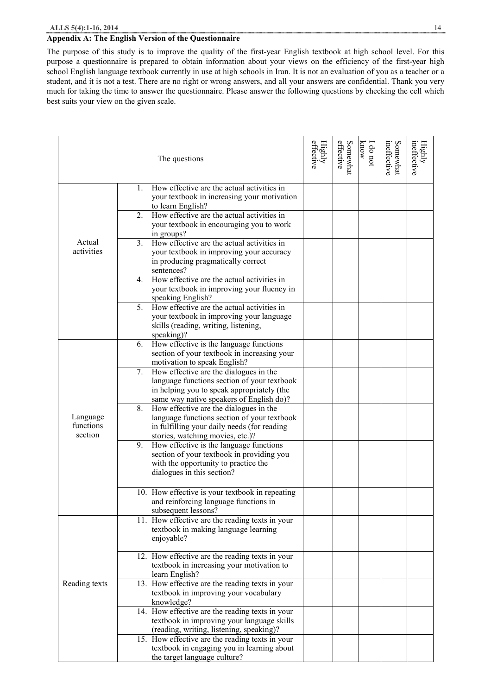## **Appendix A: The English Version of the Questionnaire**

The purpose of this study is to improve the quality of the first-year English textbook at high school level. For this purpose a questionnaire is prepared to obtain information about your views on the efficiency of the first-year high school English language textbook currently in use at high schools in Iran. It is not an evaluation of you as a teacher or a student, and it is not a test. There are no right or wrong answers, and all your answers are confidential. Thank you very much for taking the time to answer the questionnaire. Please answer the following questions by checking the cell which best suits your view on the given scale.

|                                  | The questions                                                                                                                                                                         | effective<br>Highly | effective<br>Somewhat | know<br>I do not | ineffective<br>Somewhat | ineffective<br>Highly |
|----------------------------------|---------------------------------------------------------------------------------------------------------------------------------------------------------------------------------------|---------------------|-----------------------|------------------|-------------------------|-----------------------|
|                                  | How effective are the actual activities in<br>1.<br>your textbook in increasing your motivation<br>to learn English?                                                                  |                     |                       |                  |                         |                       |
|                                  | How effective are the actual activities in<br>2.<br>your textbook in encouraging you to work<br>in groups?                                                                            |                     |                       |                  |                         |                       |
| Actual<br>activities             | 3.<br>How effective are the actual activities in<br>your textbook in improving your accuracy<br>in producing pragmatically correct<br>sentences?                                      |                     |                       |                  |                         |                       |
|                                  | How effective are the actual activities in<br>4.<br>your textbook in improving your fluency in<br>speaking English?                                                                   |                     |                       |                  |                         |                       |
|                                  | How effective are the actual activities in<br>5.<br>your textbook in improving your language<br>skills (reading, writing, listening,<br>speaking)?                                    |                     |                       |                  |                         |                       |
|                                  | How effective is the language functions<br>6.<br>section of your textbook in increasing your<br>motivation to speak English?                                                          |                     |                       |                  |                         |                       |
|                                  | 7.<br>How effective are the dialogues in the<br>language functions section of your textbook<br>in helping you to speak appropriately (the<br>same way native speakers of English do)? |                     |                       |                  |                         |                       |
| Language<br>functions<br>section | How effective are the dialogues in the<br>8.<br>language functions section of your textbook<br>in fulfilling your daily needs (for reading<br>stories, watching movies, etc.)?        |                     |                       |                  |                         |                       |
|                                  | How effective is the language functions<br>9.<br>section of your textbook in providing you<br>with the opportunity to practice the<br>dialogues in this section?                      |                     |                       |                  |                         |                       |
|                                  | 10. How effective is your textbook in repeating<br>and reinforcing language functions in<br>subsequent lessons?                                                                       |                     |                       |                  |                         |                       |
|                                  | 11. How effective are the reading texts in your<br>textbook in making language learning<br>enjoyable?                                                                                 |                     |                       |                  |                         |                       |
|                                  | 12. How effective are the reading texts in your<br>textbook in increasing your motivation to<br>learn English?                                                                        |                     |                       |                  |                         |                       |
| Reading texts                    | 13. How effective are the reading texts in your<br>textbook in improving your vocabulary<br>knowledge?                                                                                |                     |                       |                  |                         |                       |
|                                  | 14. How effective are the reading texts in your<br>textbook in improving your language skills<br>(reading, writing, listening, speaking)?                                             |                     |                       |                  |                         |                       |
|                                  | 15. How effective are the reading texts in your<br>textbook in engaging you in learning about<br>the target language culture?                                                         |                     |                       |                  |                         |                       |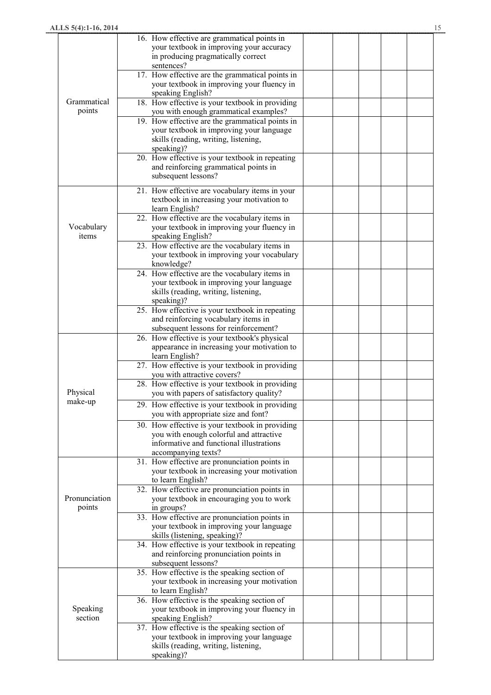|               | 16. How effective are grammatical points in                                              |  |  |  |
|---------------|------------------------------------------------------------------------------------------|--|--|--|
|               | your textbook in improving your accuracy                                                 |  |  |  |
|               | in producing pragmatically correct                                                       |  |  |  |
|               | sentences?                                                                               |  |  |  |
|               | 17. How effective are the grammatical points in                                          |  |  |  |
|               | your textbook in improving your fluency in                                               |  |  |  |
| Grammatical   | speaking English?                                                                        |  |  |  |
| points        | 18. How effective is your textbook in providing<br>you with enough grammatical examples? |  |  |  |
|               | 19. How effective are the grammatical points in                                          |  |  |  |
|               | your textbook in improving your language                                                 |  |  |  |
|               | skills (reading, writing, listening,                                                     |  |  |  |
|               | speaking)?                                                                               |  |  |  |
|               | 20. How effective is your textbook in repeating                                          |  |  |  |
|               | and reinforcing grammatical points in                                                    |  |  |  |
|               | subsequent lessons?                                                                      |  |  |  |
|               | 21. How effective are vocabulary items in your                                           |  |  |  |
|               | textbook in increasing your motivation to                                                |  |  |  |
|               | learn English?                                                                           |  |  |  |
|               | 22. How effective are the vocabulary items in                                            |  |  |  |
| Vocabulary    | your textbook in improving your fluency in                                               |  |  |  |
| items         | speaking English?                                                                        |  |  |  |
|               | 23. How effective are the vocabulary items in                                            |  |  |  |
|               | your textbook in improving your vocabulary                                               |  |  |  |
|               | knowledge?                                                                               |  |  |  |
|               | 24. How effective are the vocabulary items in                                            |  |  |  |
|               | your textbook in improving your language                                                 |  |  |  |
|               | skills (reading, writing, listening,                                                     |  |  |  |
|               | speaking)?<br>25. How effective is your textbook in repeating                            |  |  |  |
|               | and reinforcing vocabulary items in                                                      |  |  |  |
|               | subsequent lessons for reinforcement?                                                    |  |  |  |
|               | 26. How effective is your textbook's physical                                            |  |  |  |
|               | appearance in increasing your motivation to                                              |  |  |  |
|               | learn English?                                                                           |  |  |  |
|               | 27. How effective is your textbook in providing                                          |  |  |  |
|               | you with attractive covers?                                                              |  |  |  |
|               | 28. How effective is your textbook in providing                                          |  |  |  |
| Physical      | you with papers of satisfactory quality?                                                 |  |  |  |
| make-up       | 29. How effective is your textbook in providing                                          |  |  |  |
|               | you with appropriate size and font?                                                      |  |  |  |
|               | 30. How effective is your textbook in providing                                          |  |  |  |
|               | you with enough colorful and attractive                                                  |  |  |  |
|               | informative and functional illustrations                                                 |  |  |  |
|               | accompanying texts?<br>31. How effective are pronunciation points in                     |  |  |  |
|               | your textbook in increasing your motivation                                              |  |  |  |
|               | to learn English?                                                                        |  |  |  |
|               | 32. How effective are pronunciation points in                                            |  |  |  |
| Pronunciation | your textbook in encouraging you to work                                                 |  |  |  |
| points        | in groups?                                                                               |  |  |  |
|               | 33. How effective are pronunciation points in                                            |  |  |  |
|               | your textbook in improving your language                                                 |  |  |  |
|               | skills (listening, speaking)?                                                            |  |  |  |
|               | 34. How effective is your textbook in repeating                                          |  |  |  |
|               | and reinforcing pronunciation points in                                                  |  |  |  |
|               | subsequent lessons?<br>35. How effective is the speaking section of                      |  |  |  |
|               | your textbook in increasing your motivation                                              |  |  |  |
|               | to learn English?                                                                        |  |  |  |
|               | 36. How effective is the speaking section of                                             |  |  |  |
| Speaking      | your textbook in improving your fluency in                                               |  |  |  |
| section       | speaking English?                                                                        |  |  |  |
|               | 37. How effective is the speaking section of                                             |  |  |  |
|               | your textbook in improving your language                                                 |  |  |  |
|               | skills (reading, writing, listening,                                                     |  |  |  |
|               | speaking)?                                                                               |  |  |  |